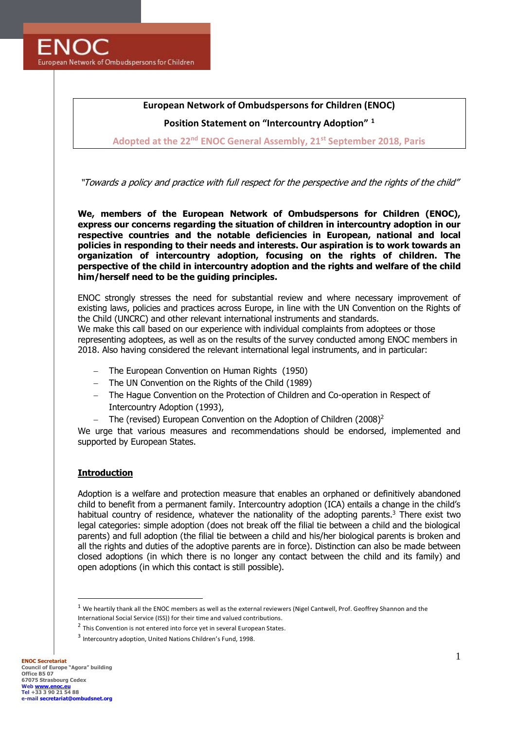**FNOC** European Network of Ombudspersons for Children

# **European Network of Ombudspersons for Children (ENOC)**

**Position Statement on "Intercountry Adoption" <sup>1</sup>**

**Adopted at the 22nd ENOC General Assembly, 21st September 2018, Paris**

"Towards a policy and practice with full respect for the perspective and the rights of the child"

**We, members of the European Network of Ombudspersons for Children (ENOC), express our concerns regarding the situation of children in intercountry adoption in our respective countries and the notable deficiencies in European, national and local policies in responding to their needs and interests. Our aspiration is to work towards an organization of intercountry adoption, focusing on the rights of children. The perspective of the child in intercountry adoption and the rights and welfare of the child him/herself need to be the guiding principles.**

ENOC strongly stresses the need for substantial review and where necessary improvement of existing laws, policies and practices across Europe, in line with the UN Convention on the Rights of the Child (UNCRC) and other relevant international instruments and standards. We make this call based on our experience with individual complaints from adoptees or those representing adoptees, as well as on the results of the survey conducted among ENOC members in 2018. Also having considered the relevant international legal instruments, and in particular:

- − The European Convention on Human Rights (1950)
- − The UN Convention on the Rights of the Child (1989)
- − The Hague Convention on the Protection of Children and Co-operation in Respect of Intercountry Adoption (1993),
- − The (revised) European Convention on the Adoption of Children (2008)<sup>2</sup>

We urge that various measures and recommendations should be endorsed, implemented and supported by European States.

# **Introduction**

Adoption is a welfare and protection measure that enables an orphaned or definitively abandoned child to benefit from a permanent family. Intercountry adoption (ICA) entails a change in the child's habitual country of residence, whatever the nationality of the adopting parents.<sup>3</sup> There exist two legal categories: simple adoption (does not break off the filial tie between a child and the biological parents) and full adoption (the filial tie between a child and his/her biological parents is broken and all the rights and duties of the adoptive parents are in force). Distinction can also be made between closed adoptions (in which there is no longer any contact between the child and its family) and open adoptions (in which this contact is still possible).

 $1$  We heartily thank all the ENOC members as well as the external reviewers (Nigel Cantwell, Prof. Geoffrey Shannon and the International Social Service (ISS)) for their time and valued contributions.

 $2$  This Convention is not entered into force yet in several European States.

<sup>&</sup>lt;sup>3</sup> Intercountry adoption, United Nations Children's Fund, 1998.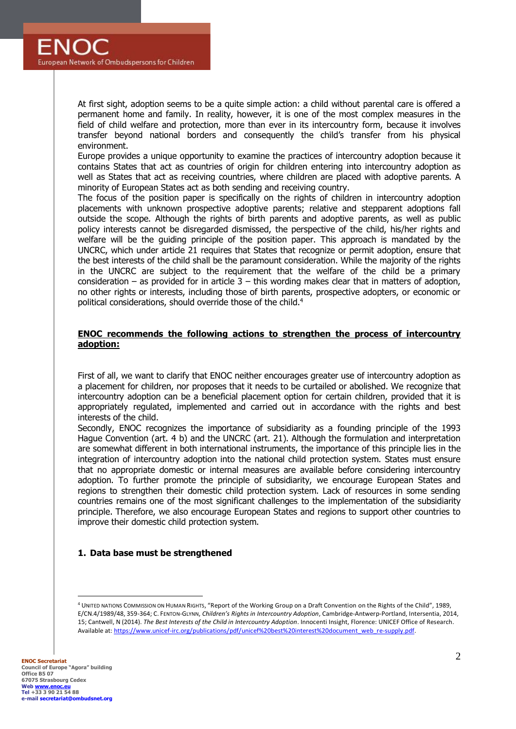At first sight, adoption seems to be a quite simple action: a child without parental care is offered a permanent home and family. In reality, however, it is one of the most complex measures in the field of child welfare and protection, more than ever in its intercountry form, because it involves transfer beyond national borders and consequently the child's transfer from his physical environment.

Europe provides a unique opportunity to examine the practices of intercountry adoption because it contains States that act as countries of origin for children entering into intercountry adoption as well as States that act as receiving countries, where children are placed with adoptive parents. A minority of European States act as both sending and receiving country.

The focus of the position paper is specifically on the rights of children in intercountry adoption placements with unknown prospective adoptive parents; relative and stepparent adoptions fall outside the scope. Although the rights of birth parents and adoptive parents, as well as public policy interests cannot be disregarded dismissed, the perspective of the child, his/her rights and welfare will be the guiding principle of the position paper. This approach is mandated by the UNCRC, which under article 21 requires that States that recognize or permit adoption, ensure that the best interests of the child shall be the paramount consideration. While the majority of the rights in the UNCRC are subject to the requirement that the welfare of the child be a primary consideration – as provided for in article  $3$  – this wording makes clear that in matters of adoption, no other rights or interests, including those of birth parents, prospective adopters, or economic or political considerations, should override those of the child.<sup>4</sup>

#### **ENOC recommends the following actions to strengthen the process of intercountry adoption:**

First of all, we want to clarify that ENOC neither encourages greater use of intercountry adoption as a placement for children, nor proposes that it needs to be curtailed or abolished. We recognize that intercountry adoption can be a beneficial placement option for certain children, provided that it is appropriately regulated, implemented and carried out in accordance with the rights and best interests of the child.

Secondly, ENOC recognizes the importance of subsidiarity as a founding principle of the 1993 Hague Convention (art. 4 b) and the UNCRC (art. 21). Although the formulation and interpretation are somewhat different in both international instruments, the importance of this principle lies in the integration of intercountry adoption into the national child protection system. States must ensure that no appropriate domestic or internal measures are available before considering intercountry adoption. To further promote the principle of subsidiarity, we encourage European States and regions to strengthen their domestic child protection system. Lack of resources in some sending countries remains one of the most significant challenges to the implementation of the subsidiarity principle. Therefore, we also encourage European States and regions to support other countries to improve their domestic child protection system.

# **1. Data base must be strengthened**

<sup>4</sup> UNITED NATIONS COMMISSION ON HUMAN RIGHTS, "Report of the Working Group on a Draft Convention on the Rights of the Child", 1989, E/CN.4/1989/48, 359-364; C. FENTON-GLYNN, *Children's Rights in Intercountry Adoption*, Cambridge-Antwerp-Portland, Intersentia, 2014, 15; Cantwell, N (2014). *The Best Interests of the Child in Intercountry Adoption*. Innocenti Insight, Florence: UNICEF Office of Research. Available at: https://www.unicef-irc.org/publications/pdf/unicef%20best%20interest%20document\_web\_re-supply.pdf.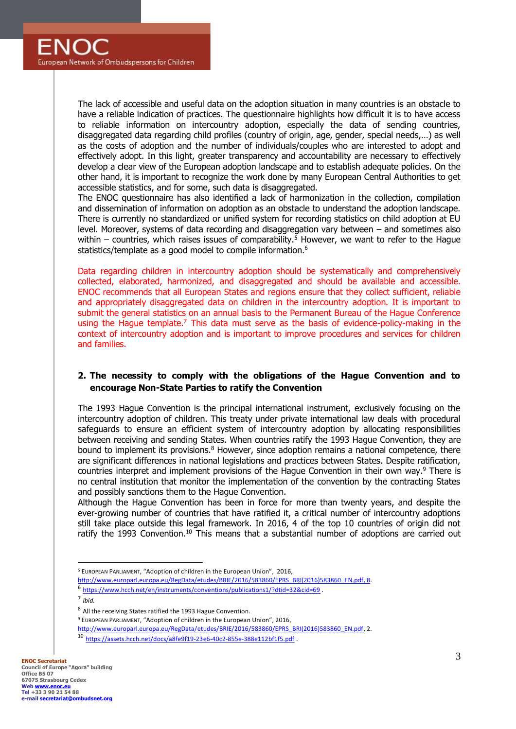The lack of accessible and useful data on the adoption situation in many countries is an obstacle to have a reliable indication of practices. The questionnaire highlights how difficult it is to have access to reliable information on intercountry adoption, especially the data of sending countries, disaggregated data regarding child profiles (country of origin, age, gender, special needs,…) as well as the costs of adoption and the number of individuals/couples who are interested to adopt and effectively adopt. In this light, greater transparency and accountability are necessary to effectively develop a clear view of the European adoption landscape and to establish adequate policies. On the other hand, it is important to recognize the work done by many European Central Authorities to get accessible statistics, and for some, such data is disaggregated.

The ENOC questionnaire has also identified a lack of harmonization in the collection, compilation and dissemination of information on adoption as an obstacle to understand the adoption landscape. There is currently no standardized or unified system for recording statistics on child adoption at EU level. Moreover, systems of data recording and disaggregation vary between – and sometimes also within – countries, which raises issues of comparability.<sup>5</sup> However, we want to refer to the Hague statistics/template as a good model to compile information.<sup>6</sup>

Data regarding children in intercountry adoption should be systematically and comprehensively collected, elaborated, harmonized, and disaggregated and should be available and accessible. ENOC recommends that all European States and regions ensure that they collect sufficient, reliable and appropriately disaggregated data on children in the intercountry adoption. It is important to submit the general statistics on an annual basis to the Permanent Bureau of the Hague Conference using the Hague template.<sup>7</sup> This data must serve as the basis of evidence-policy-making in the context of intercountry adoption and is important to improve procedures and services for children and families.

# **2. The necessity to comply with the obligations of the Hague Convention and to encourage Non-State Parties to ratify the Convention**

The 1993 Hague Convention is the principal international instrument, exclusively focusing on the intercountry adoption of children. This treaty under private international law deals with procedural safeguards to ensure an efficient system of intercountry adoption by allocating responsibilities between receiving and sending States. When countries ratify the 1993 Hague Convention, they are bound to implement its provisions. $8$  However, since adoption remains a national competence, there are significant differences in national legislations and practices between States. Despite ratification, countries interpret and implement provisions of the Hague Convention in their own way.<sup>9</sup> There is no central institution that monitor the implementation of the convention by the contracting States and possibly sanctions them to the Hague Convention.

Although the Hague Convention has been in force for more than twenty years, and despite the ever-growing number of countries that have ratified it, a critical number of intercountry adoptions still take place outside this legal framework. In 2016, 4 of the top 10 countries of origin did not ratify the 1993 Convention.<sup>10</sup> This means that a substantial number of adoptions are carried out

<sup>5</sup> EUROPEAN PARLIAMENT, "Adoption of children in the European Union", 2016,

[http://www.europarl.europa.eu/RegData/etudes/BRIE/2016/583860/EPRS\\_BRI\(2016\)583860\\_EN.pdf,](http://www.europarl.europa.eu/RegData/etudes/BRIE/2016/583860/EPRS_BRI(2016)583860_EN.pdf) 8.

<sup>&</sup>lt;sup>6</sup> <https://www.hcch.net/en/instruments/conventions/publications1/?dtid=32&cid=69>.

<sup>7</sup> *Ibid.*

<sup>&</sup>lt;sup>8</sup> All the receiving States ratified the 1993 Hague Convention.

<sup>9</sup> EUROPEAN PARLIAMENT, "Adoption of children in the European Union", 2016,

[http://www.europarl.europa.eu/RegData/etudes/BRIE/2016/583860/EPRS\\_BRI\(2016\)583860\\_EN.pdf,](http://www.europarl.europa.eu/RegData/etudes/BRIE/2016/583860/EPRS_BRI(2016)583860_EN.pdf) 2. <sup>10</sup> <https://assets.hcch.net/docs/a8fe9f19-23e6-40c2-855e-388e112bf1f5.pdf> .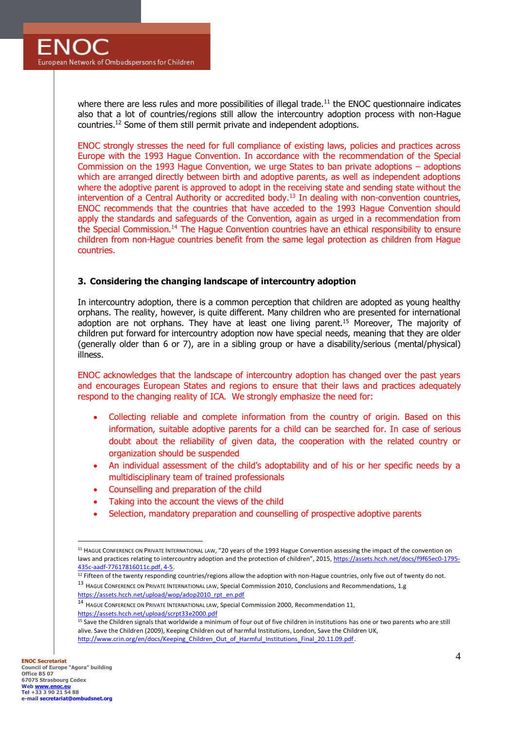where there are less rules and more possibilities of illegal trade.<sup>11</sup> the ENOC questionnaire indicates also that a lot of countries/regions still allow the intercountry adoption process with non-Hague countries.<sup>12</sup> Some of them still permit private and independent adoptions.

ENOC strongly stresses the need for full compliance of existing laws, policies and practices across Europe with the 1993 Hague Convention. In accordance with the recommendation of the Special Commission on the 1993 Hague Convention, we urge States to ban private adoptions – adoptions which are arranged directly between birth and adoptive parents, as well as independent adoptions where the adoptive parent is approved to adopt in the receiving state and sending state without the intervention of a Central Authority or accredited body.<sup>13</sup> In dealing with non-convention countries, ENOC recommends that the countries that have acceded to the 1993 Hague Convention should apply the standards and safeguards of the Convention, again as urged in a recommendation from the Special Commission.<sup>14</sup> The Hague Convention countries have an ethical responsibility to ensure children from non-Hague countries benefit from the same legal protection as children from Hague countries.

### **3. Considering the changing landscape of intercountry adoption**

In intercountry adoption, there is a common perception that children are adopted as young healthy orphans. The reality, however, is quite different. Many children who are presented for international adoption are not orphans. They have at least one living parent.<sup>15</sup> Moreover, The majority of children put forward for intercountry adoption now have special needs, meaning that they are older (generally older than 6 or 7), are in a sibling group or have a disability/serious (mental/physical) illness.

ENOC acknowledges that the landscape of intercountry adoption has changed over the past years and encourages European States and regions to ensure that their laws and practices adequately respond to the changing reality of ICA. We strongly emphasize the need for:

- Collecting reliable and complete information from the country of origin. Based on this information, suitable adoptive parents for a child can be searched for. In case of serious doubt about the reliability of given data, the cooperation with the related country or organization should be suspended
- An individual assessment of the child's adoptability and of his or her specific needs by a multidisciplinary team of trained professionals
- Counselling and preparation of the child
- Taking into the account the views of the child
- Selection, mandatory preparation and counselling of prospective adoptive parents

[https://assets.hcch.net/upload/wop/adop2010\\_rpt\\_en.pdf](https://assets.hcch.net/upload/wop/adop2010_rpt_en.pdf) <sup>14</sup> HAGUE CONFERENCE ON PRIVATE INTERNATIONAL LAW, Special Commission 2000, Recommendation 11,

<https://assets.hcch.net/upload/scrpt33e2000.pdf>

<sup>11</sup> HAGUE CONFERENCE ON PRIVATE INTERNATIONAL LAW, "20 years of the 1993 Hague Convention assessing the impact of the convention on laws and practices relating to intercountry adoption and the protection of children", 2015, [https://assets.hcch.net/docs/f9f65ec0-1795-](https://assets.hcch.net/docs/f9f65ec0-1795-435c-aadf-77617816011c.pdf) [435c-aadf-77617816011c.pdf,](https://assets.hcch.net/docs/f9f65ec0-1795-435c-aadf-77617816011c.pdf) 4-5.

<sup>&</sup>lt;sup>12</sup> Fifteen of the twenty responding countries/regions allow the adoption with non-Hague countries, only five out of twenty do not. <sup>13</sup> HAGUE CONFERENCE ON PRIVATE INTERNATIONAL LAW, Special Commission 2010, Conclusions and Recommendations, 1.g

<sup>&</sup>lt;sup>15</sup> Save the Children signals that worldwide a minimum of four out of five children in institutions has one or two parents who are still alive. Save the Children (2009), Keeping Children out of harmful Institutions, London, Save the Children UK, [http://www.crin.org/en/docs/Keeping\\_Children\\_Out\\_of\\_Harmful\\_Institutions\\_Final\\_20.11.09.pdf.](http://www.crin.org/en/docs/Keeping_Children_Out_of_Harmful_Institutions_Final_20.11.09.pdf)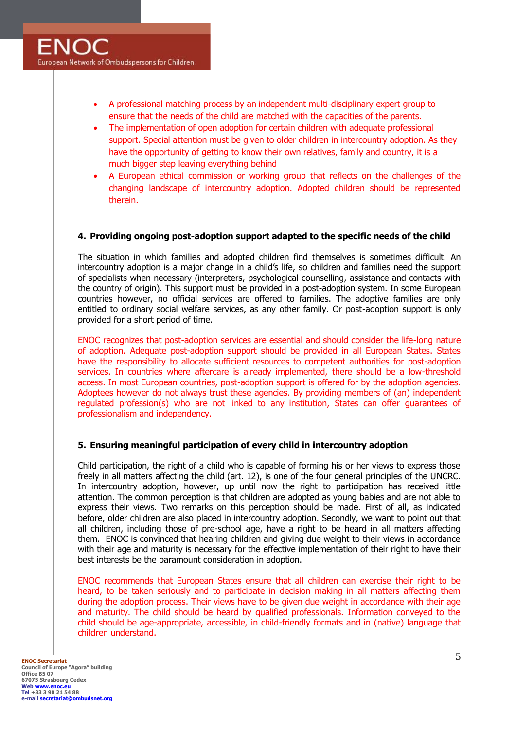- A professional matching process by an independent multi-disciplinary expert group to ensure that the needs of the child are matched with the capacities of the parents.
- The implementation of open adoption for certain children with adequate professional support. Special attention must be given to older children in intercountry adoption. As they have the opportunity of getting to know their own relatives, family and country, it is a much bigger step leaving everything behind
- A European ethical commission or working group that reflects on the challenges of the changing landscape of intercountry adoption. Adopted children should be represented therein.

### **4. Providing ongoing post-adoption support adapted to the specific needs of the child**

The situation in which families and adopted children find themselves is sometimes difficult. An intercountry adoption is a major change in a child's life, so children and families need the support of specialists when necessary (interpreters, psychological counselling, assistance and contacts with the country of origin). This support must be provided in a post-adoption system. In some European countries however, no official services are offered to families. The adoptive families are only entitled to ordinary social welfare services, as any other family. Or post-adoption support is only provided for a short period of time.

ENOC recognizes that post-adoption services are essential and should consider the life-long nature of adoption. Adequate post-adoption support should be provided in all European States. States have the responsibility to allocate sufficient resources to competent authorities for post-adoption services. In countries where aftercare is already implemented, there should be a low-threshold access. In most European countries, post-adoption support is offered for by the adoption agencies. Adoptees however do not always trust these agencies. By providing members of (an) independent regulated profession(s) who are not linked to any institution, States can offer guarantees of professionalism and independency.

#### **5. Ensuring meaningful participation of every child in intercountry adoption**

Child participation, the right of a child who is capable of forming his or her views to express those freely in all matters affecting the child (art. 12), is one of the four general principles of the UNCRC. In intercountry adoption, however, up until now the right to participation has received little attention. The common perception is that children are adopted as young babies and are not able to express their views. Two remarks on this perception should be made. First of all, as indicated before, older children are also placed in intercountry adoption. Secondly, we want to point out that all children, including those of pre-school age, have a right to be heard in all matters affecting them. ENOC is convinced that hearing children and giving due weight to their views in accordance with their age and maturity is necessary for the effective implementation of their right to have their best interests be the paramount consideration in adoption.

ENOC recommends that European States ensure that all children can exercise their right to be heard, to be taken seriously and to participate in decision making in all matters affecting them during the adoption process. Their views have to be given due weight in accordance with their age and maturity. The child should be heard by qualified professionals. Information conveyed to the child should be age-appropriate, accessible, in child-friendly formats and in (native) language that children understand.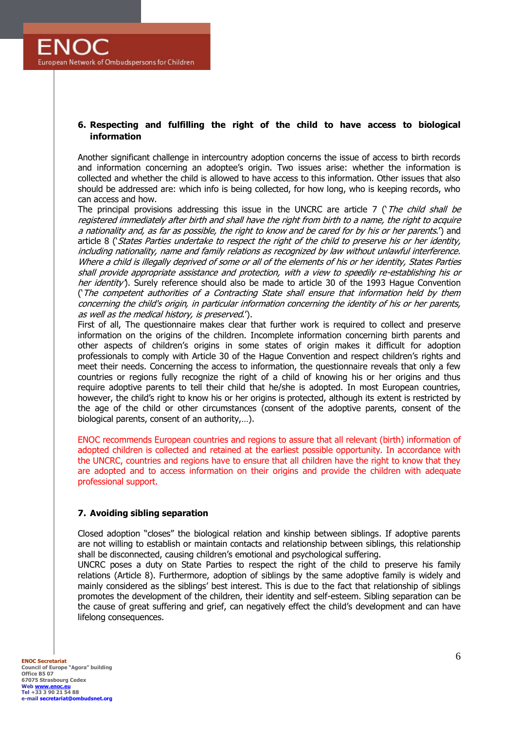# **6. Respecting and fulfilling the right of the child to have access to biological information**

Another significant challenge in intercountry adoption concerns the issue of access to birth records and information concerning an adoptee's origin. Two issues arise: whether the information is collected and whether the child is allowed to have access to this information. Other issues that also should be addressed are: which info is being collected, for how long, who is keeping records, who can access and how.

The principal provisions addressing this issue in the UNCRC are article 7 ( $The child shall be$ registered immediately after birth and shall have the right from birth to a name, the right to acquire a nationality and, as far as possible, the right to know and be cared for by his or her parents.') and article 8 ('States Parties undertake to respect the right of the child to preserve his or her identity, including nationality, name and family relations as recognized by law without unlawful interference. Where a child is illegally deprived of some or all of the elements of his or her identity, States Parties shall provide appropriate assistance and protection, with a view to speedily re-establishing his or her identity'). Surely reference should also be made to article 30 of the 1993 Hague Convention ('The competent authorities of a Contracting State shall ensure that information held by them concerning the child's origin, in particular information concerning the identity of his or her parents, as well as the medical history, is preserved.').

First of all, The questionnaire makes clear that further work is required to collect and preserve information on the origins of the children. Incomplete information concerning birth parents and other aspects of children's origins in some states of origin makes it difficult for adoption professionals to comply with Article 30 of the Hague Convention and respect children's rights and meet their needs. Concerning the access to information, the questionnaire reveals that only a few countries or regions fully recognize the right of a child of knowing his or her origins and thus require adoptive parents to tell their child that he/she is adopted. In most European countries, however, the child's right to know his or her origins is protected, although its extent is restricted by the age of the child or other circumstances (consent of the adoptive parents, consent of the biological parents, consent of an authority,…).

ENOC recommends European countries and regions to assure that all relevant (birth) information of adopted children is collected and retained at the earliest possible opportunity. In accordance with the UNCRC, countries and regions have to ensure that all children have the right to know that they are adopted and to access information on their origins and provide the children with adequate professional support.

# **7. Avoiding sibling separation**

Closed adoption "closes" the biological relation and kinship between siblings. If adoptive parents are not willing to establish or maintain contacts and relationship between siblings, this relationship shall be disconnected, causing children's emotional and psychological suffering.

UNCRC poses a duty on State Parties to respect the right of the child to preserve his family relations (Article 8). Furthermore, adoption of siblings by the same adoptive family is widely and mainly considered as the siblings' best interest. This is due to the fact that relationship of siblings promotes the development of the children, their identity and self-esteem. Sibling separation can be the cause of great suffering and grief, can negatively effect the child's development and can have lifelong consequences.